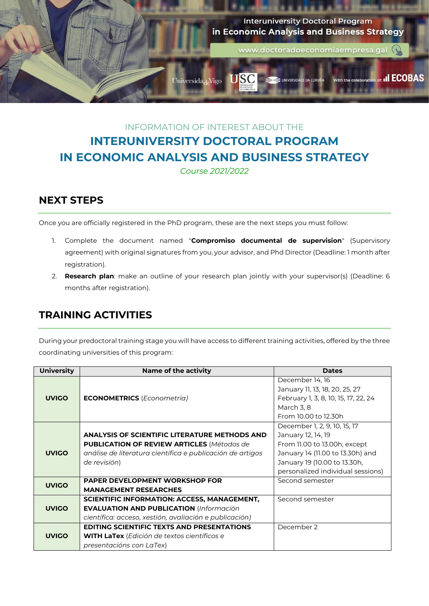

# INFORMATION OF INTEREST ABOUT THE **INTERUNIVERSITY DOCTORAL PROGRAM IN ECONOMIC ANALYSIS AND BUSINESS STRATEGY**

*Course 2021/2022*

## **NEXT STEPS**

Once you are officially registered in the PhD program, these are the next steps you must follow:

- 1. Complete the document named "**Compromiso documental de supervision**" (Supervisory agreement) with original signatures from you, your advisor, and Phd Director (Deadline: 1 month after registration).
- 2. **Research plan**: make an outline of your research plan jointly with your supervisor(s) (Deadline: 6 months after registration).

#### **TRAINING ACTIVITIES**

During your predoctoral training stage you will have access to different training activities, offered by the three coordinating universities of this program:

| <b>University</b> | <b>Name of the activity</b>                               | <b>Dates</b>                         |
|-------------------|-----------------------------------------------------------|--------------------------------------|
|                   |                                                           | December 14, 16                      |
|                   |                                                           | January 11, 13, 18, 20, 25, 27       |
| <b>UVIGO</b>      | <b>ECONOMETRICS</b> (Econometría)                         | February 1, 3, 8, 10, 15, 17, 22, 24 |
|                   |                                                           | March 3, 8                           |
|                   |                                                           | From 10.00 to 12.30h                 |
|                   |                                                           | December 1, 2, 9, 10, 15, 17         |
|                   | <b>ANALYSIS OF SCIENTIFIC LITERATURE METHODS AND</b>      | January 12, 14, 19                   |
|                   | <b>PUBLICATION OF REVIEW ARTICLES (Métodos de</b>         | From 11.00 to 13.00h, except         |
| <b>UVIGO</b>      | análise de literatura científica e publicación de artigos | January 14 (11.00 to 13.30h) and     |
|                   | de revisión)                                              | January 19 (10.00 to 13.30h,         |
|                   |                                                           | personalized individual sessions)    |
| <b>UVIGO</b>      | <b>PAPER DEVELOPMENT WORKSHOP FOR</b>                     | Second semester                      |
|                   | <b>MANAGEMENT RESEARCHES</b>                              |                                      |
|                   | <b>SCIENTIFIC INFORMATION: ACCESS, MANAGEMENT,</b>        | Second semester                      |
| <b>UVIGO</b>      | <b>EVALUATION AND PUBLICATION (Información</b>            |                                      |
|                   | científica: acceso, xestión, avaliación e publicación)    |                                      |
|                   | <b>EDITING SCIENTIFIC TEXTS AND PRESENTATIONS</b>         | December 2                           |
| <b>UVIGO</b>      | <b>WITH LaTex</b> (Edición de textos científicos e        |                                      |
|                   | presentacións con LaTex)                                  |                                      |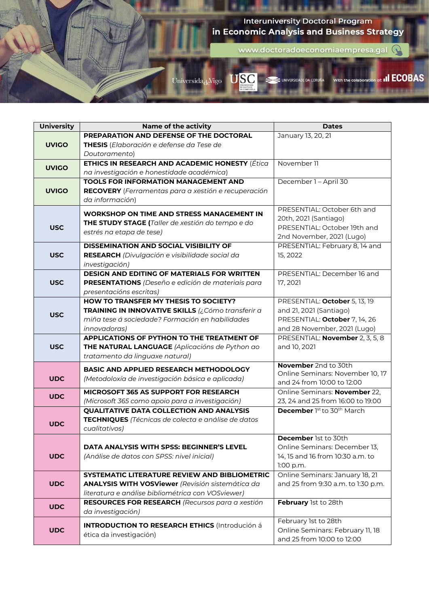

| <b>University</b> | <b>Name of the activity</b>                                                      | <b>Dates</b>                       |
|-------------------|----------------------------------------------------------------------------------|------------------------------------|
|                   | PREPARATION AND DEFENSE OF THE DOCTORAL                                          | January 13, 20, 21                 |
| <b>UVIGO</b>      | THESIS (Elaboración e defense da Tese de                                         |                                    |
|                   | Doutoramento)                                                                    |                                    |
| <b>UVIGO</b>      | ETHICS IN RESEARCH AND ACADEMIC HONESTY (Ética                                   | November 11                        |
|                   | na investigación e honestidade académica)                                        |                                    |
|                   | <b>TOOLS FOR INFORMATION MANAGEMENT AND</b>                                      | December 1 - April 30              |
| <b>UVIGO</b>      | <b>RECOVERY</b> (Ferramentas para a xestión e recuperación                       |                                    |
|                   | da información)                                                                  |                                    |
|                   | <b>WORKSHOP ON TIME AND STRESS MANAGEMENT IN</b>                                 | PRESENTIAL: October 6th and        |
|                   |                                                                                  | 20th, 2021 (Santiago)              |
| <b>USC</b>        | THE STUDY STAGE (Taller de xestión do tempo e do                                 | PRESENTIAL: October 19th and       |
|                   | estrés na etapa de tese)                                                         | 2nd November, 2021 (Lugo)          |
|                   | <b>DISSEMINATION AND SOCIAL VISIBILITY OF</b>                                    | PRESENTIAL: February 8, 14 and     |
| <b>USC</b>        | RESEARCH (Divulgación e visibilidade social da                                   | 15, 2022                           |
|                   | investigación)                                                                   |                                    |
|                   | <b>DESIGN AND EDITING OF MATERIALS FOR WRITTEN</b>                               | PRESENTIAL: December 16 and        |
| <b>USC</b>        | PRESENTATIONS (Deseño e edición de materiais para                                | 17, 2021                           |
|                   | presentacións escritas)                                                          |                                    |
|                   | <b>HOW TO TRANSFER MY THESIS TO SOCIETY?</b>                                     | PRESENTIAL: October 5, 13, 19      |
|                   | TRAINING IN INNOVATIVE SKILLS (¿Cómo transferir a                                | and 21, 2021 (Santiago)            |
| <b>USC</b>        | miña tese á sociedade? Formación en habilidades                                  | PRESENTIAL: October 7, 14, 26      |
|                   | <i>innovadoras)</i>                                                              | and 28 November, 2021 (Lugo)       |
|                   | APPLICATIONS OF PYTHON TO THE TREATMENT OF                                       | PRESENTIAL: November 2, 3, 5, 8    |
| <b>USC</b>        | THE NATURAL LANGUAGE (Aplicacións de Python ao                                   | and 10, 2021                       |
|                   |                                                                                  |                                    |
|                   |                                                                                  |                                    |
|                   | tratamento da linguaxe natural)                                                  | November 2nd to 30th               |
|                   | <b>BASIC AND APPLIED RESEARCH METHODOLOGY</b>                                    | Online Seminars: November 10, 17   |
| <b>UDC</b>        | (Metodoloxía de investigación básica e aplicada)                                 | and 24 from 10:00 to 12:00         |
|                   | MICROSOFT 365 AS SUPPORT FOR RESEARCH                                            | Online Seminars: November 22,      |
| <b>UDC</b>        | (Microsoft 365 como apoio para a investigación)                                  | 23, 24 and 25 from 16:00 to 19:00  |
|                   | <b>QUALITATIVE DATA COLLECTION AND ANALYSIS</b>                                  | December 1st to 30th March         |
|                   | TECHNIQUES (Técnicas de colecta e análise de datos                               |                                    |
| <b>UDC</b>        | cualitativos)                                                                    |                                    |
|                   |                                                                                  | December 1st to 30th               |
|                   | DATA ANALYSIS WITH SPSS: BEGINNER'S LEVEL                                        | Online Seminars: December 13,      |
| <b>UDC</b>        | (Análise de datos con SPSS: nivel inicial)                                       | 14, 15 and 16 from 10:30 a.m. to   |
|                   |                                                                                  | 1:00 p.m.                          |
|                   | SYSTEMATIC LITERATURE REVIEW AND BIBLIOMETRIC                                    | Online Seminars: January 18, 21    |
| <b>UDC</b>        | <b>ANALYSIS WITH VOSViewer</b> (Revisión sistemática da                          | and 25 from 9:30 a.m. to 1:30 p.m. |
|                   | literatura e análise bibliométrica con VOSviewer)                                |                                    |
|                   | RESOURCES FOR RESEARCH (Recursos para a xestión                                  | February 1st to 28th               |
| <b>UDC</b>        | da investigación)                                                                |                                    |
|                   |                                                                                  | February 1st to 28th               |
| <b>UDC</b>        | <b>INTRODUCTION TO RESEARCH ETHICS (Introdución á</b><br>ética da investigación) | Online Seminars: February 11, 18   |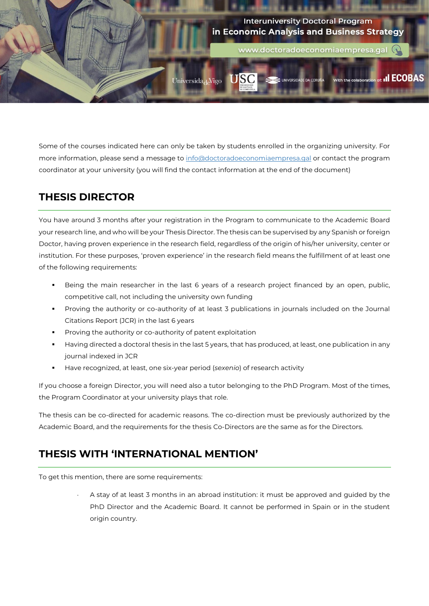

Some of the courses indicated here can only be taken by students enrolled in the organizing university. For more information, please send a message to [info@doctoradoeconomiaempresa.gal](mailto:info@doctoradoeconomiaempresa.gal) or contact the program coordinator at your university (you will find the contact information at the end of the document)

## **THESIS DIRECTOR**

You have around 3 months after your registration in the Program to communicate to the Academic Board your research line, and who will be your Thesis Director. The thesis can be supervised by any Spanish or foreign Doctor, having proven experience in the research field, regardless of the origin of his/her university, center or institution. For these purposes, 'proven experience' in the research field means the fulfillment of at least one of the following requirements:

- Being the main researcher in the last 6 years of a research project financed by an open, public, competitive call, not including the university own funding
- Proving the authority or co-authority of at least 3 publications in journals included on the Journal Citations Report (JCR) in the last 6 years
- Proving the authority or co-authority of patent exploitation
- Having directed a doctoral thesis in the last 5 years, that has produced, at least, one publication in any journal indexed in JCR
- Have recognized, at least, one six-year period (*sexenio*) of research activity

If you choose a foreign Director, you will need also a tutor belonging to the PhD Program. Most of the times, the Program Coordinator at your university plays that role.

The thesis can be co-directed for academic reasons. The co-direction must be previously authorized by the Academic Board, and the requirements for the thesis Co-Directors are the same as for the Directors.

# **THESIS WITH 'INTERNATIONAL MENTION'**

To get this mention, there are some requirements:

 A stay of at least 3 months in an abroad institution: it must be approved and guided by the PhD Director and the Academic Board. It cannot be performed in Spain or in the student origin country.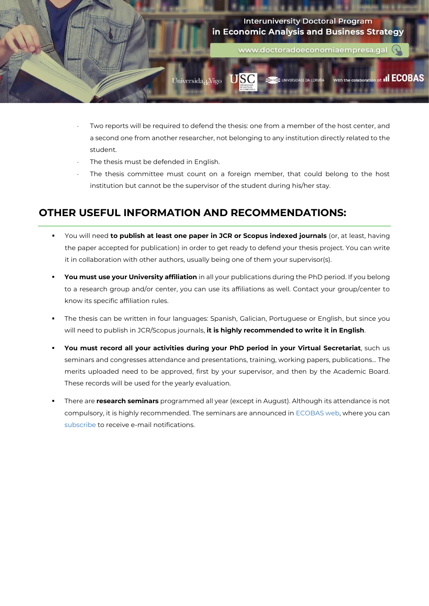

- Two reports will be required to defend the thesis: one from a member of the host center, and a second one from another researcher, not belonging to any institution directly related to the student.
- The thesis must be defended in English.
- The thesis committee must count on a foreign member, that could belong to the host institution but cannot be the supervisor of the student during his/her stay.

#### **OTHER USEFUL INFORMATION AND RECOMMENDATIONS:**

- You will need **to publish at least one paper in JCR or Scopus indexed journals** (or, at least, having the paper accepted for publication) in order to get ready to defend your thesis project. You can write it in collaboration with other authors, usually being one of them your supervisor(s).
- **You must use your University affiliation** in all your publications during the PhD period. If you belong to a research group and/or center, you can use its affiliations as well. Contact your group/center to know its specific affiliation rules.
- The thesis can be written in four languages: Spanish, Galician, Portuguese or English, but since you will need to publish in JCR/Scopus journals, **it is highly recommended to write it in English**.
- **You must record all your activities during your PhD period in your Virtual Secretariat**, such us seminars and congresses attendance and presentations, training, working papers, publications… The merits uploaded need to be approved, first by your supervisor, and then by the Academic Board. These records will be used for the yearly evaluation.
- There are **research seminars** programmed all year (except in August). Although its attendance is not compulsory, it is highly recommended. The seminars are announced i[n ECOBAS web,](http://ecobas.webs7.uvigo.es/index.php) where you can [subscribe](http://ecobas.webs.uvigo.es/gl/boletin.php) to receive e-mail notifications.